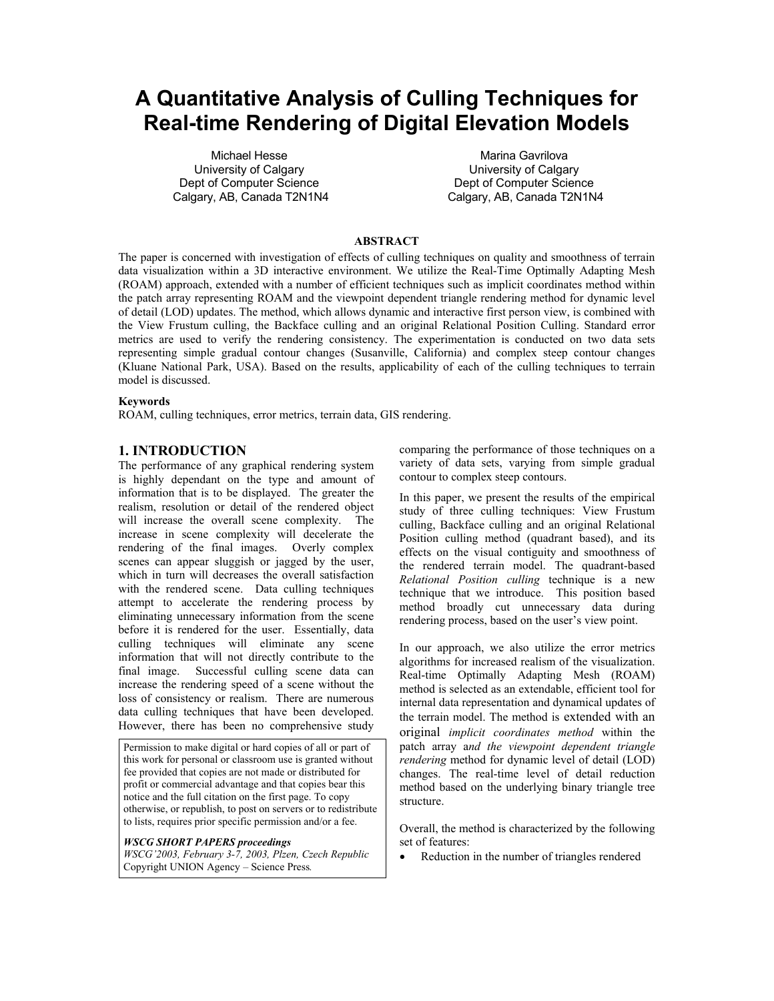# **A Quantitative Analysis of Culling Techniques for Real-time Rendering of Digital Elevation Models**

Michael Hesse University of Calgary Dept of Computer Science Calgary, AB, Canada T2N1N4

Marina Gavrilova University of Calgary Dept of Computer Science Calgary, AB, Canada T2N1N4

#### **ABSTRACT**

The paper is concerned with investigation of effects of culling techniques on quality and smoothness of terrain data visualization within a 3D interactive environment. We utilize the Real-Time Optimally Adapting Mesh (ROAM) approach, extended with a number of efficient techniques such as implicit coordinates method within the patch array representing ROAM and the viewpoint dependent triangle rendering method for dynamic level of detail (LOD) updates. The method, which allows dynamic and interactive first person view, is combined with the View Frustum culling, the Backface culling and an original Relational Position Culling. Standard error metrics are used to verify the rendering consistency. The experimentation is conducted on two data sets representing simple gradual contour changes (Susanville, California) and complex steep contour changes (Kluane National Park, USA). Based on the results, applicability of each of the culling techniques to terrain model is discussed.

#### **Keywords**

ROAM, culling techniques, error metrics, terrain data, GIS rendering.

## **1. INTRODUCTION**

The performance of any graphical rendering system is highly dependant on the type and amount of information that is to be displayed. The greater the realism, resolution or detail of the rendered object will increase the overall scene complexity. The increase in scene complexity will decelerate the rendering of the final images. Overly complex scenes can appear sluggish or jagged by the user, which in turn will decreases the overall satisfaction with the rendered scene. Data culling techniques attempt to accelerate the rendering process by eliminating unnecessary information from the scene before it is rendered for the user. Essentially, data culling techniques will eliminate any scene information that will not directly contribute to the final image. Successful culling scene data can increase the rendering speed of a scene without the loss of consistency or realism. There are numerous data culling techniques that have been developed. However, there has been no comprehensive study

Permission to make digital or hard copies of all or part of this work for personal or classroom use is granted without fee provided that copies are not made or distributed for profit or commercial advantage and that copies bear this notice and the full citation on the first page. To copy otherwise, or republish, to post on servers or to redistribute to lists, requires prior specific permission and/or a fee.

#### *WSCG SHORT PAPERS proceedings*

*WSCG'2003, February 3-7, 2003, Plzen, Czech Republic*  Copyright UNION Agency – Science Press*.* 

comparing the performance of those techniques on a variety of data sets, varying from simple gradual contour to complex steep contours.

In this paper, we present the results of the empirical study of three culling techniques: View Frustum culling, Backface culling and an original Relational Position culling method (quadrant based), and its effects on the visual contiguity and smoothness of the rendered terrain model. The quadrant-based *Relational Position culling* technique is a new technique that we introduce. This position based method broadly cut unnecessary data during rendering process, based on the user's view point.

In our approach, we also utilize the error metrics algorithms for increased realism of the visualization. Real-time Optimally Adapting Mesh (ROAM) method is selected as an extendable, efficient tool for internal data representation and dynamical updates of the terrain model. The method is extended with an original *implicit coordinates method* within the patch array a*nd the viewpoint dependent triangle rendering* method for dynamic level of detail (LOD) changes. The real-time level of detail reduction method based on the underlying binary triangle tree structure.

Overall, the method is characterized by the following set of features:

• Reduction in the number of triangles rendered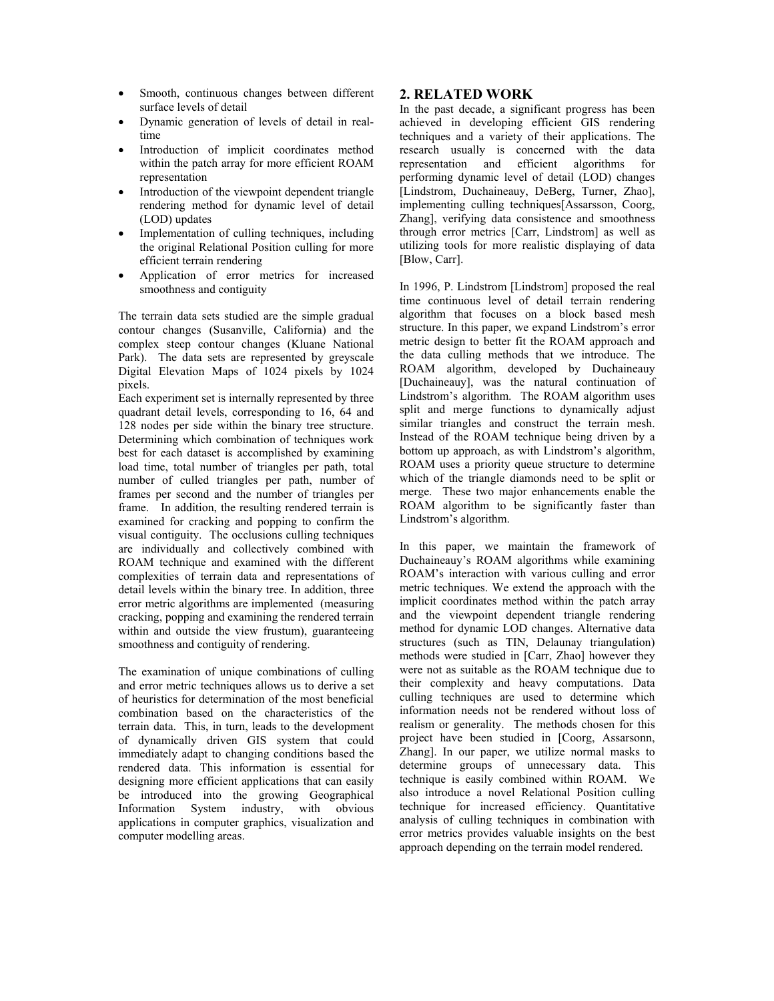- Smooth, continuous changes between different surface levels of detail
- Dynamic generation of levels of detail in realtime
- Introduction of implicit coordinates method within the patch array for more efficient ROAM representation
- Introduction of the viewpoint dependent triangle rendering method for dynamic level of detail (LOD) updates
- Implementation of culling techniques, including the original Relational Position culling for more efficient terrain rendering
- Application of error metrics for increased smoothness and contiguity

The terrain data sets studied are the simple gradual contour changes (Susanville, California) and the complex steep contour changes (Kluane National Park). The data sets are represented by greyscale Digital Elevation Maps of 1024 pixels by 1024 pixels.

Each experiment set is internally represented by three quadrant detail levels, corresponding to 16, 64 and 128 nodes per side within the binary tree structure. Determining which combination of techniques work best for each dataset is accomplished by examining load time, total number of triangles per path, total number of culled triangles per path, number of frames per second and the number of triangles per frame. In addition, the resulting rendered terrain is examined for cracking and popping to confirm the visual contiguity. The occlusions culling techniques are individually and collectively combined with ROAM technique and examined with the different complexities of terrain data and representations of detail levels within the binary tree. In addition, three error metric algorithms are implemented (measuring cracking, popping and examining the rendered terrain within and outside the view frustum), guaranteeing smoothness and contiguity of rendering.

The examination of unique combinations of culling and error metric techniques allows us to derive a set of heuristics for determination of the most beneficial combination based on the characteristics of the terrain data. This, in turn, leads to the development of dynamically driven GIS system that could immediately adapt to changing conditions based the rendered data. This information is essential for designing more efficient applications that can easily be introduced into the growing Geographical Information System industry, with obvious applications in computer graphics, visualization and computer modelling areas.

# **2. RELATED WORK**

In the past decade, a significant progress has been achieved in developing efficient GIS rendering techniques and a variety of their applications. The research usually is concerned with the data representation and efficient algorithms for performing dynamic level of detail (LOD) changes [Lindstrom, Duchaineauy, DeBerg, Turner, Zhao], implementing culling techniques[Assarsson, Coorg, Zhang], verifying data consistence and smoothness through error metrics [Carr, Lindstrom] as well as utilizing tools for more realistic displaying of data [Blow, Carr].

In 1996, P. Lindstrom [Lindstrom] proposed the real time continuous level of detail terrain rendering algorithm that focuses on a block based mesh structure. In this paper, we expand Lindstrom's error metric design to better fit the ROAM approach and the data culling methods that we introduce. The ROAM algorithm, developed by Duchaineauy [Duchaineauy], was the natural continuation of Lindstrom's algorithm. The ROAM algorithm uses split and merge functions to dynamically adjust similar triangles and construct the terrain mesh. Instead of the ROAM technique being driven by a bottom up approach, as with Lindstrom's algorithm, ROAM uses a priority queue structure to determine which of the triangle diamonds need to be split or merge. These two major enhancements enable the ROAM algorithm to be significantly faster than Lindstrom's algorithm.

In this paper, we maintain the framework of Duchaineauy's ROAM algorithms while examining ROAM's interaction with various culling and error metric techniques. We extend the approach with the implicit coordinates method within the patch array and the viewpoint dependent triangle rendering method for dynamic LOD changes. Alternative data structures (such as TIN, Delaunay triangulation) methods were studied in [Carr, Zhao] however they were not as suitable as the ROAM technique due to their complexity and heavy computations. Data culling techniques are used to determine which information needs not be rendered without loss of realism or generality. The methods chosen for this project have been studied in [Coorg, Assarsonn, Zhang]. In our paper, we utilize normal masks to determine groups of unnecessary data. This technique is easily combined within ROAM. We also introduce a novel Relational Position culling technique for increased efficiency. Quantitative analysis of culling techniques in combination with error metrics provides valuable insights on the best approach depending on the terrain model rendered.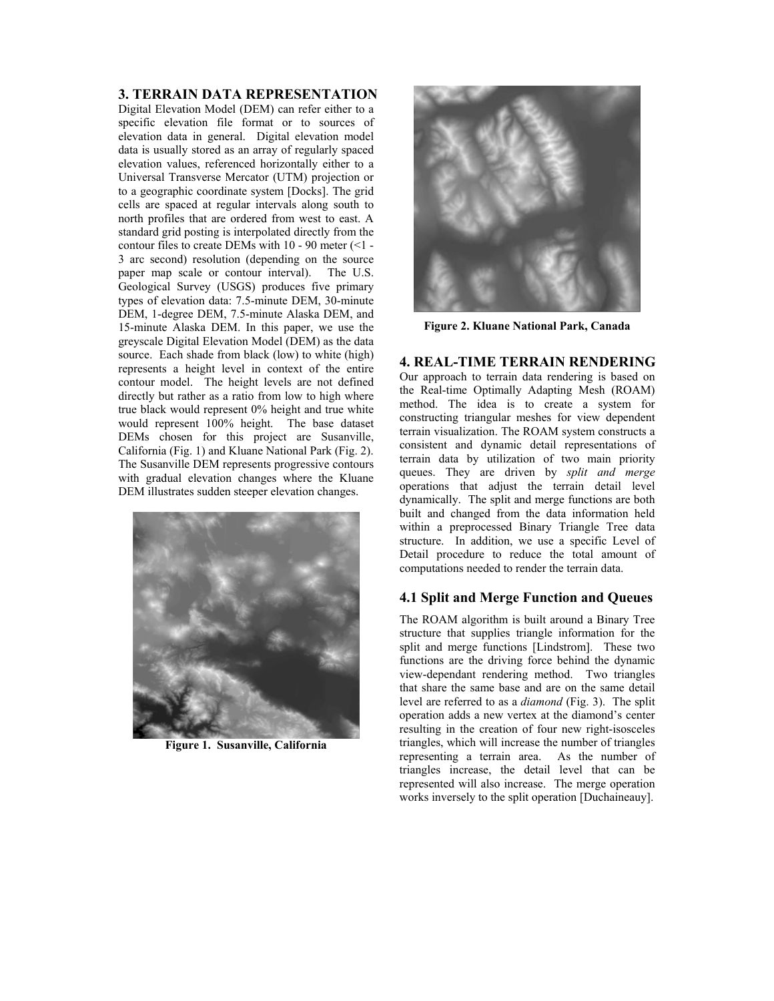# **3. TERRAIN DATA REPRESENTATION**

Digital Elevation Model (DEM) can refer either to a specific elevation file format or to sources of elevation data in general. Digital elevation model data is usually stored as an array of regularly spaced elevation values, referenced horizontally either to a Universal Transverse Mercator (UTM) projection or to a geographic coordinate system [Docks]. The grid cells are spaced at regular intervals along south to north profiles that are ordered from west to east. A standard grid posting is interpolated directly from the contour files to create DEMs with  $10 - 90$  meter  $\leq 1$  -3 arc second) resolution (depending on the source paper map scale or contour interval). The U.S. Geological Survey (USGS) produces five primary types of elevation data: 7.5-minute DEM, 30-minute DEM, 1-degree DEM, 7.5-minute Alaska DEM, and 15-minute Alaska DEM. In this paper, we use the greyscale Digital Elevation Model (DEM) as the data source. Each shade from black (low) to white (high) represents a height level in context of the entire contour model. The height levels are not defined directly but rather as a ratio from low to high where true black would represent 0% height and true white would represent 100% height. The base dataset DEMs chosen for this project are Susanville, California (Fig. 1) and Kluane National Park (Fig. 2). The Susanville DEM represents progressive contours with gradual elevation changes where the Kluane DEM illustrates sudden steeper elevation changes.



**Figure 1. Susanville, California** 



**Figure 2. Kluane National Park, Canada** 

**4. REAL-TIME TERRAIN RENDERING**  Our approach to terrain data rendering is based on the Real-time Optimally Adapting Mesh (ROAM) method. The idea is to create a system for constructing triangular meshes for view dependent terrain visualization. The ROAM system constructs a consistent and dynamic detail representations of terrain data by utilization of two main priority queues. They are driven by *split and merge*  operations that adjust the terrain detail level dynamically. The split and merge functions are both built and changed from the data information held within a preprocessed Binary Triangle Tree data structure. In addition, we use a specific Level of Detail procedure to reduce the total amount of computations needed to render the terrain data.

# **4.1 Split and Merge Function and Queues**

The ROAM algorithm is built around a Binary Tree structure that supplies triangle information for the split and merge functions [Lindstrom]. These two functions are the driving force behind the dynamic view-dependant rendering method. Two triangles that share the same base and are on the same detail level are referred to as a *diamond* (Fig. 3). The split operation adds a new vertex at the diamond's center resulting in the creation of four new right-isosceles triangles, which will increase the number of triangles representing a terrain area. As the number of triangles increase, the detail level that can be represented will also increase. The merge operation works inversely to the split operation [Duchaineauy].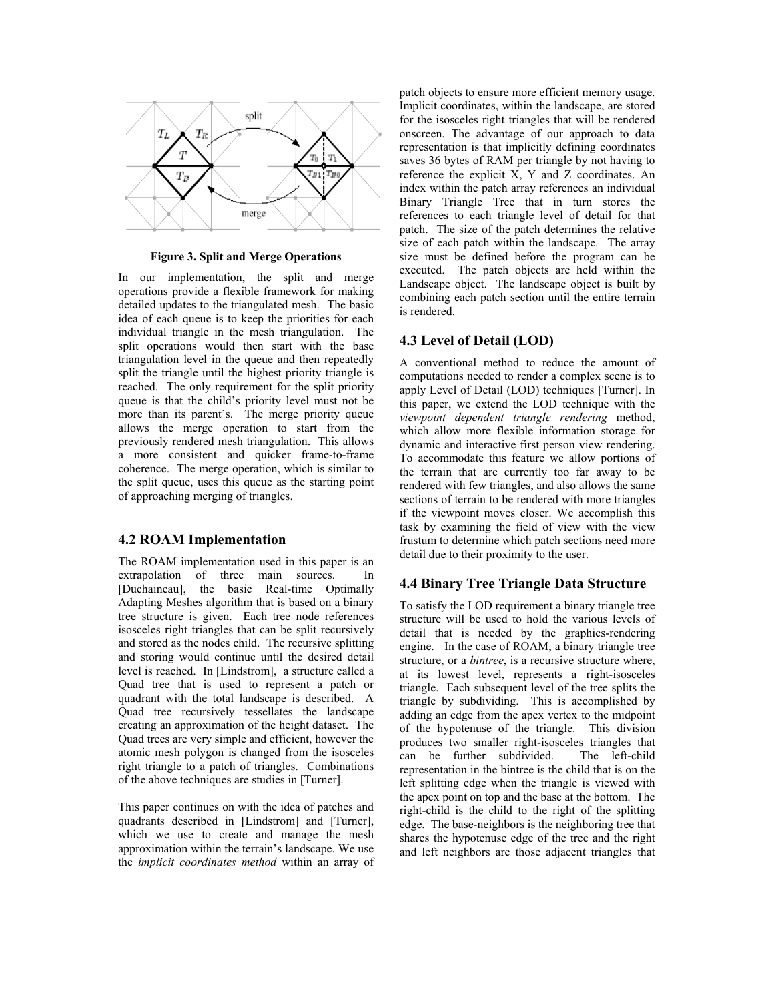

**Figure 3. Split and Merge Operations** 

In our implementation, the split and merge operations provide a flexible framework for making detailed updates to the triangulated mesh. The basic idea of each queue is to keep the priorities for each individual triangle in the mesh triangulation. The split operations would then start with the base triangulation level in the queue and then repeatedly split the triangle until the highest priority triangle is reached. The only requirement for the split priority queue is that the child's priority level must not be more than its parent's. The merge priority queue allows the merge operation to start from the previously rendered mesh triangulation. This allows a more consistent and quicker frame-to-frame coherence. The merge operation, which is similar to the split queue, uses this queue as the starting point of approaching merging of triangles.

#### **4.2 ROAM Implementation**

The ROAM implementation used in this paper is an extrapolation of three main sources. In [Duchaineau], the basic Real-time Optimally Adapting Meshes algorithm that is based on a binary tree structure is given. Each tree node references isosceles right triangles that can be split recursively and stored as the nodes child. The recursive splitting and storing would continue until the desired detail level is reached. In [Lindstrom], a structure called a Quad tree that is used to represent a patch or quadrant with the total landscape is described. A Quad tree recursively tessellates the landscape creating an approximation of the height dataset. The Quad trees are very simple and efficient, however the atomic mesh polygon is changed from the isosceles right triangle to a patch of triangles. Combinations of the above techniques are studies in [Turner].

This paper continues on with the idea of patches and quadrants described in [Lindstrom] and [Turner], which we use to create and manage the mesh approximation within the terrain's landscape. We use the *implicit coordinates method* within an array of patch objects to ensure more efficient memory usage. Implicit coordinates, within the landscape, are stored for the isosceles right triangles that will be rendered onscreen. The advantage of our approach to data representation is that implicitly defining coordinates saves 36 bytes of RAM per triangle by not having to reference the explicit X, Y and Z coordinates. An index within the patch array references an individual Binary Triangle Tree that in turn stores the references to each triangle level of detail for that patch. The size of the patch determines the relative size of each patch within the landscape. The array size must be defined before the program can be executed. The patch objects are held within the Landscape object. The landscape object is built by combining each patch section until the entire terrain is rendered.

#### **4.3 Level of Detail (LOD)**

A conventional method to reduce the amount of computations needed to render a complex scene is to apply Level of Detail (LOD) techniques [Turner]. In this paper, we extend the LOD technique with the *viewpoint dependent triangle rendering* method, which allow more flexible information storage for dynamic and interactive first person view rendering. To accommodate this feature we allow portions of the terrain that are currently too far away to be rendered with few triangles, and also allows the same sections of terrain to be rendered with more triangles if the viewpoint moves closer. We accomplish this task by examining the field of view with the view frustum to determine which patch sections need more detail due to their proximity to the user.

## **4.4 Binary Tree Triangle Data Structure**

To satisfy the LOD requirement a binary triangle tree structure will be used to hold the various levels of detail that is needed by the graphics-rendering engine. In the case of ROAM, a binary triangle tree structure, or a *bintree*, is a recursive structure where, at its lowest level, represents a right-isosceles triangle. Each subsequent level of the tree splits the triangle by subdividing. This is accomplished by adding an edge from the apex vertex to the midpoint of the hypotenuse of the triangle. This division produces two smaller right-isosceles triangles that can be further subdivided. The left-child representation in the bintree is the child that is on the left splitting edge when the triangle is viewed with the apex point on top and the base at the bottom. The right-child is the child to the right of the splitting edge. The base-neighbors is the neighboring tree that shares the hypotenuse edge of the tree and the right and left neighbors are those adjacent triangles that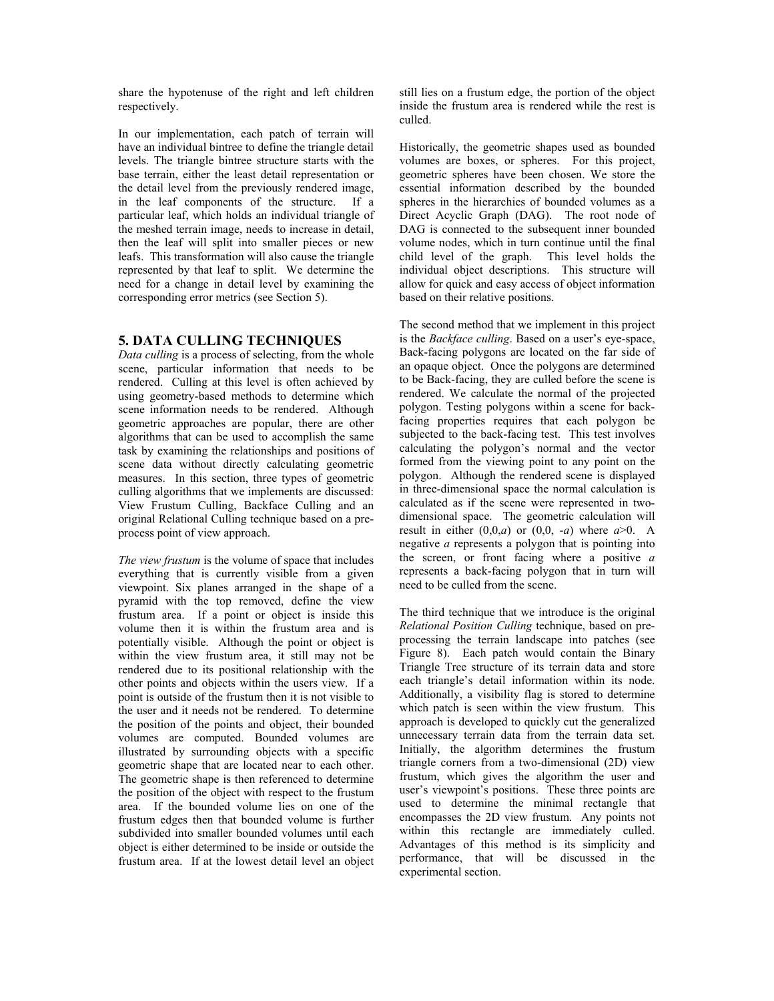share the hypotenuse of the right and left children respectively.

In our implementation, each patch of terrain will have an individual bintree to define the triangle detail levels. The triangle bintree structure starts with the base terrain, either the least detail representation or the detail level from the previously rendered image, in the leaf components of the structure. If a particular leaf, which holds an individual triangle of the meshed terrain image, needs to increase in detail, then the leaf will split into smaller pieces or new leafs. This transformation will also cause the triangle represented by that leaf to split. We determine the need for a change in detail level by examining the corresponding error metrics (see Section 5).

# **5. DATA CULLING TECHNIQUES**

*Data culling* is a process of selecting, from the whole scene, particular information that needs to be rendered. Culling at this level is often achieved by using geometry-based methods to determine which scene information needs to be rendered. Although geometric approaches are popular, there are other algorithms that can be used to accomplish the same task by examining the relationships and positions of scene data without directly calculating geometric measures. In this section, three types of geometric culling algorithms that we implements are discussed: View Frustum Culling, Backface Culling and an original Relational Culling technique based on a preprocess point of view approach.

*The view frustum* is the volume of space that includes everything that is currently visible from a given viewpoint. Six planes arranged in the shape of a pyramid with the top removed, define the view frustum area. If a point or object is inside this volume then it is within the frustum area and is potentially visible. Although the point or object is within the view frustum area, it still may not be rendered due to its positional relationship with the other points and objects within the users view. If a point is outside of the frustum then it is not visible to the user and it needs not be rendered. To determine the position of the points and object, their bounded volumes are computed. Bounded volumes are illustrated by surrounding objects with a specific geometric shape that are located near to each other. The geometric shape is then referenced to determine the position of the object with respect to the frustum area. If the bounded volume lies on one of the frustum edges then that bounded volume is further subdivided into smaller bounded volumes until each object is either determined to be inside or outside the frustum area. If at the lowest detail level an object

still lies on a frustum edge, the portion of the object inside the frustum area is rendered while the rest is culled.

Historically, the geometric shapes used as bounded volumes are boxes, or spheres. For this project, geometric spheres have been chosen. We store the essential information described by the bounded spheres in the hierarchies of bounded volumes as a Direct Acyclic Graph (DAG). The root node of DAG is connected to the subsequent inner bounded volume nodes, which in turn continue until the final child level of the graph. This level holds the individual object descriptions. This structure will allow for quick and easy access of object information based on their relative positions.

The second method that we implement in this project is the *Backface culling*. Based on a user's eye-space, Back-facing polygons are located on the far side of an opaque object. Once the polygons are determined to be Back-facing, they are culled before the scene is rendered. We calculate the normal of the projected polygon. Testing polygons within a scene for backfacing properties requires that each polygon be subjected to the back-facing test. This test involves calculating the polygon's normal and the vector formed from the viewing point to any point on the polygon. Although the rendered scene is displayed in three-dimensional space the normal calculation is calculated as if the scene were represented in twodimensional space. The geometric calculation will result in either  $(0,0,a)$  or  $(0,0, -a)$  where  $a>0$ . A negative *a* represents a polygon that is pointing into the screen, or front facing where a positive *a* represents a back-facing polygon that in turn will need to be culled from the scene.

The third technique that we introduce is the original *Relational Position Culling* technique, based on preprocessing the terrain landscape into patches (see Figure 8). Each patch would contain the Binary Triangle Tree structure of its terrain data and store each triangle's detail information within its node. Additionally, a visibility flag is stored to determine which patch is seen within the view frustum. This approach is developed to quickly cut the generalized unnecessary terrain data from the terrain data set. Initially, the algorithm determines the frustum triangle corners from a two-dimensional (2D) view frustum, which gives the algorithm the user and user's viewpoint's positions. These three points are used to determine the minimal rectangle that encompasses the 2D view frustum. Any points not within this rectangle are immediately culled. Advantages of this method is its simplicity and performance, that will be discussed in the experimental section.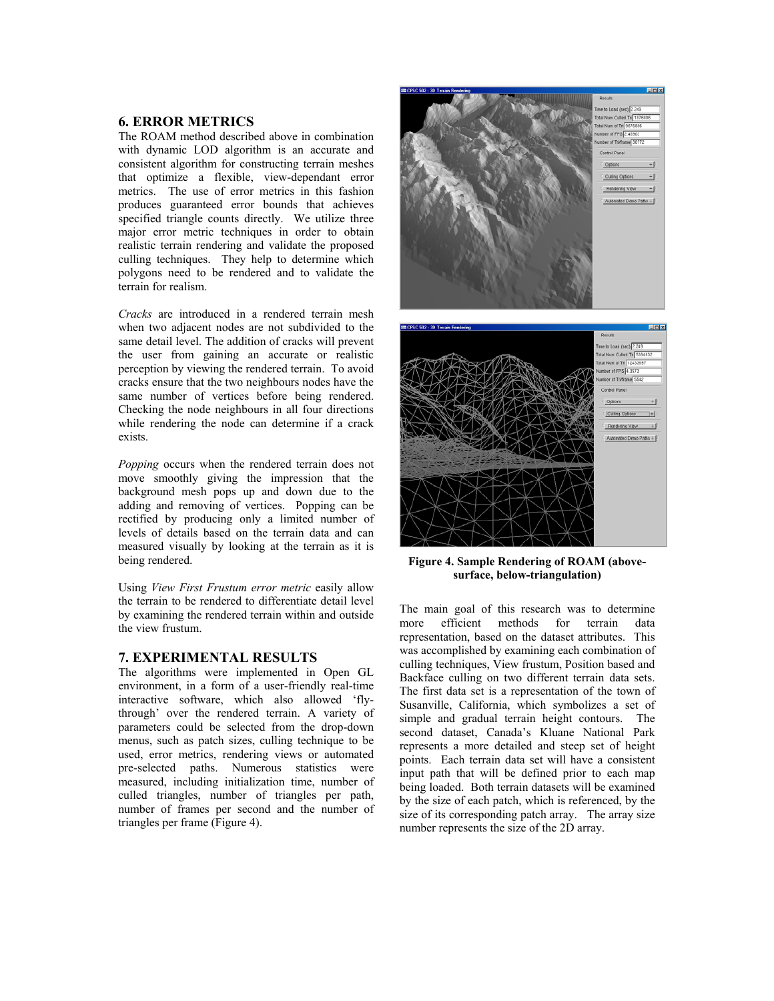# **6. ERROR METRICS**

The ROAM method described above in combination with dynamic LOD algorithm is an accurate and consistent algorithm for constructing terrain meshes that optimize a flexible, view-dependant error metrics. The use of error metrics in this fashion produces guaranteed error bounds that achieves specified triangle counts directly. We utilize three major error metric techniques in order to obtain realistic terrain rendering and validate the proposed culling techniques. They help to determine which polygons need to be rendered and to validate the terrain for realism.

*Cracks* are introduced in a rendered terrain mesh when two adjacent nodes are not subdivided to the same detail level. The addition of cracks will prevent the user from gaining an accurate or realistic perception by viewing the rendered terrain. To avoid cracks ensure that the two neighbours nodes have the same number of vertices before being rendered. Checking the node neighbours in all four directions while rendering the node can determine if a crack exists.

*Popping* occurs when the rendered terrain does not move smoothly giving the impression that the background mesh pops up and down due to the adding and removing of vertices. Popping can be rectified by producing only a limited number of levels of details based on the terrain data and can measured visually by looking at the terrain as it is being rendered.

Using *View First Frustum error metric* easily allow the terrain to be rendered to differentiate detail level by examining the rendered terrain within and outside the view frustum.

#### **7. EXPERIMENTAL RESULTS**

The algorithms were implemented in Open GL environment, in a form of a user-friendly real-time interactive software, which also allowed 'flythrough' over the rendered terrain. A variety of parameters could be selected from the drop-down menus, such as patch sizes, culling technique to be used, error metrics, rendering views or automated pre-selected paths. Numerous statistics were measured, including initialization time, number of culled triangles, number of triangles per path, number of frames per second and the number of triangles per frame (Figure 4).



**Figure 4. Sample Rendering of ROAM (abovesurface, below-triangulation)** 

The main goal of this research was to determine more efficient methods for terrain data representation, based on the dataset attributes. This was accomplished by examining each combination of culling techniques, View frustum, Position based and Backface culling on two different terrain data sets. The first data set is a representation of the town of Susanville, California, which symbolizes a set of simple and gradual terrain height contours. The second dataset, Canada's Kluane National Park represents a more detailed and steep set of height points. Each terrain data set will have a consistent input path that will be defined prior to each map being loaded. Both terrain datasets will be examined by the size of each patch, which is referenced, by the size of its corresponding patch array. The array size number represents the size of the 2D array.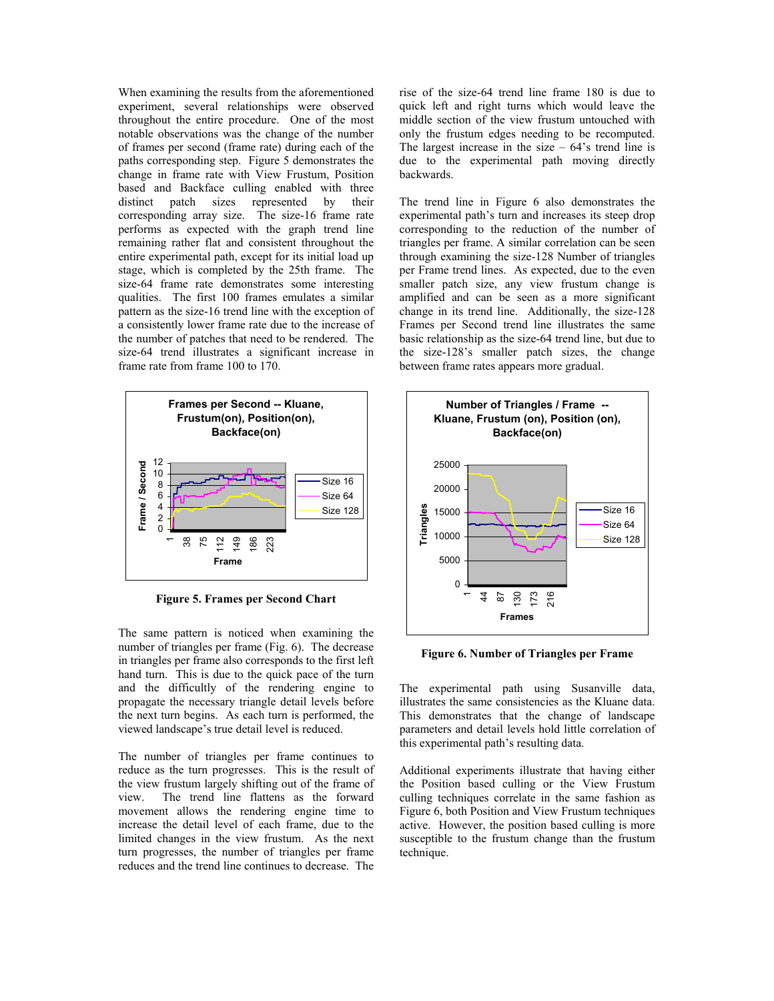When examining the results from the aforementioned experiment, several relationships were observed throughout the entire procedure. One of the most notable observations was the change of the number of frames per second (frame rate) during each of the paths corresponding step. Figure 5 demonstrates the change in frame rate with View Frustum, Position based and Backface culling enabled with three distinct patch sizes represented by their corresponding array size. The size-16 frame rate performs as expected with the graph trend line remaining rather flat and consistent throughout the entire experimental path, except for its initial load up stage, which is completed by the 25th frame. The size-64 frame rate demonstrates some interesting qualities. The first 100 frames emulates a similar pattern as the size-16 trend line with the exception of a consistently lower frame rate due to the increase of the number of patches that need to be rendered. The size-64 trend illustrates a significant increase in frame rate from frame 100 to 170.



**Figure 5. Frames per Second Chart** 

The same pattern is noticed when examining the number of triangles per frame (Fig. 6). The decrease in triangles per frame also corresponds to the first left hand turn. This is due to the quick pace of the turn and the difficultly of the rendering engine to propagate the necessary triangle detail levels before the next turn begins. As each turn is performed, the viewed landscape's true detail level is reduced.

The number of triangles per frame continues to reduce as the turn progresses. This is the result of the view frustum largely shifting out of the frame of view. The trend line flattens as the forward movement allows the rendering engine time to increase the detail level of each frame, due to the limited changes in the view frustum. As the next turn progresses, the number of triangles per frame reduces and the trend line continues to decrease. The

rise of the size-64 trend line frame 180 is due to quick left and right turns which would leave the middle section of the view frustum untouched with only the frustum edges needing to be recomputed. The largest increase in the size  $-64$ 's trend line is due to the experimental path moving directly backwards.

The trend line in Figure 6 also demonstrates the experimental path's turn and increases its steep drop corresponding to the reduction of the number of triangles per frame. A similar correlation can be seen through examining the size-128 Number of triangles per Frame trend lines. As expected, due to the even smaller patch size, any view frustum change is amplified and can be seen as a more significant change in its trend line. Additionally, the size-128 Frames per Second trend line illustrates the same basic relationship as the size-64 trend line, but due to the size-128's smaller patch sizes, the change between frame rates appears more gradual.



**Figure 6. Number of Triangles per Frame** 

The experimental path using Susanville data, illustrates the same consistencies as the Kluane data. This demonstrates that the change of landscape parameters and detail levels hold little correlation of this experimental path's resulting data.

Additional experiments illustrate that having either the Position based culling or the View Frustum culling techniques correlate in the same fashion as Figure 6, both Position and View Frustum techniques active. However, the position based culling is more susceptible to the frustum change than the frustum technique.